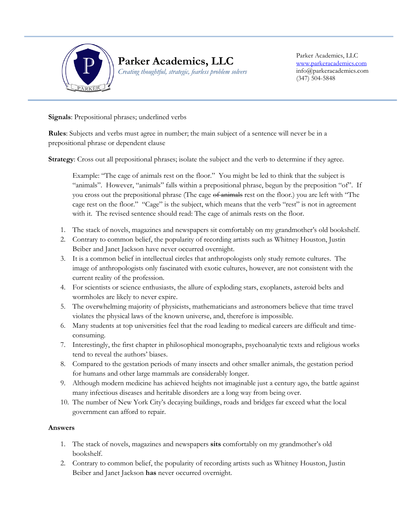

### **Parker Academics, LLC** *Creating thoughtful, strategic, fearless problem solvers*

Parker Academics, LLC [www.parkeracademics.com](http://www.parkeracademics.com/) info@parkeracademics.com (347) 504-5848

**Signals**: Prepositional phrases; underlined verbs

Ī

**Rules**: Subjects and verbs must agree in number; the main subject of a sentence will never be in a prepositional phrase or dependent clause

**Strategy:** Cross out all prepositional phrases; isolate the subject and the verb to determine if they agree.

Example: "The cage of animals rest on the floor." You might be led to think that the subject is "animals". However, "animals" falls within a prepositional phrase, begun by the preposition "of". If you cross out the prepositional phrase (The cage of animals rest on the floor.) you are left with "The cage rest on the floor." "Cage" is the subject, which means that the verb "rest" is not in agreement with it. The revised sentence should read: The cage of animals rests on the floor.

- 1. The stack of novels, magazines and newspapers sit comfortably on my grandmother's old bookshelf.
- 2. Contrary to common belief, the popularity of recording artists such as Whitney Houston, Justin Beiber and Janet Jackson have never occurred overnight.
- 3. It is a common belief in intellectual circles that anthropologists only study remote cultures. The image of anthropologists only fascinated with exotic cultures, however, are not consistent with the current reality of the profession.
- 4. For scientists or science enthusiasts, the allure of exploding stars, exoplanets, asteroid belts and wormholes are likely to never expire.
- 5. The overwhelming majority of physicists, mathematicians and astronomers believe that time travel violates the physical laws of the known universe, and, therefore is impossible.
- 6. Many students at top universities feel that the road leading to medical careers are difficult and timeconsuming.
- 7. Interestingly, the first chapter in philosophical monographs, psychoanalytic texts and religious works tend to reveal the authors' biases.
- 8. Compared to the gestation periods of many insects and other smaller animals, the gestation period for humans and other large mammals are considerably longer.
- 9. Although modern medicine has achieved heights not imaginable just a century ago, the battle against many infectious diseases and heritable disorders are a long way from being over.
- 10. The number of New York City's decaying buildings, roads and bridges far exceed what the local government can afford to repair.

### **Answers**

- 1. The stack of novels, magazines and newspapers **sits** comfortably on my grandmother's old bookshelf.
- 2. Contrary to common belief, the popularity of recording artists such as Whitney Houston, Justin Beiber and Janet Jackson **has** never occurred overnight.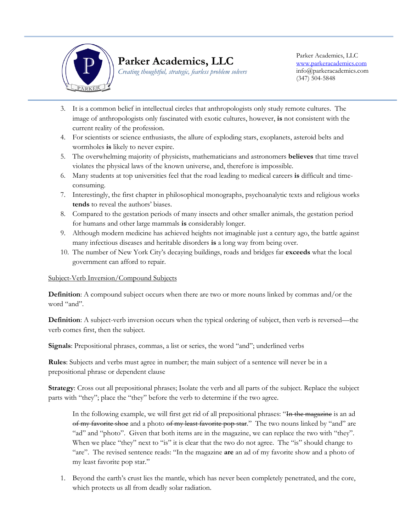

# **Parker Academics, LLC**

*Creating thoughtful, strategic, fearless problem solvers*

Parker Academics, LLC [www.parkeracademics.com](http://www.parkeracademics.com/) info@parkeracademics.com (347) 504-5848

- Ī 3. It is a common belief in intellectual circles that anthropologists only study remote cultures. The image of anthropologists only fascinated with exotic cultures, however, **is** not consistent with the current reality of the profession.
- 4. For scientists or science enthusiasts, the allure of exploding stars, exoplanets, asteroid belts and wormholes **is** likely to never expire.
- 5. The overwhelming majority of physicists, mathematicians and astronomers **believes** that time travel violates the physical laws of the known universe, and, therefore is impossible.
- 6. Many students at top universities feel that the road leading to medical careers **is** difficult and timeconsuming.
- 7. Interestingly, the first chapter in philosophical monographs, psychoanalytic texts and religious works **tends** to reveal the authors' biases.
- 8. Compared to the gestation periods of many insects and other smaller animals, the gestation period for humans and other large mammals **is** considerably longer.
- 9. Although modern medicine has achieved heights not imaginable just a century ago, the battle against many infectious diseases and heritable disorders **is** a long way from being over.
- 10. The number of New York City's decaying buildings, roads and bridges far **exceeds** what the local government can afford to repair.

#### Subject-Verb Inversion/Compound Subjects

**Definition**: A compound subject occurs when there are two or more nouns linked by commas and/or the word "and".

**Definition**: A subject-verb inversion occurs when the typical ordering of subject, then verb is reversed—the verb comes first, then the subject.

**Signals**: Prepositional phrases, commas, a list or series, the word "and"; underlined verbs

**Rules**: Subjects and verbs must agree in number; the main subject of a sentence will never be in a prepositional phrase or dependent clause

**Strategy**: Cross out all prepositional phrases; Isolate the verb and all parts of the subject. Replace the subject parts with "they"; place the "they" before the verb to determine if the two agree.

In the following example, we will first get rid of all prepositional phrases: "In the magazine is an ad of my favorite shoe and a photo of my least favorite pop star." The two nouns linked by "and" are "ad" and "photo". Given that both items are in the magazine, we can replace the two with "they". When we place "they" next to "is" it is clear that the two do not agree. The "is" should change to "are". The revised sentence reads: "In the magazine **are** an ad of my favorite show and a photo of my least favorite pop star."

1. Beyond the earth's crust lies the mantle, which has never been completely penetrated, and the core, which protects us all from deadly solar radiation.